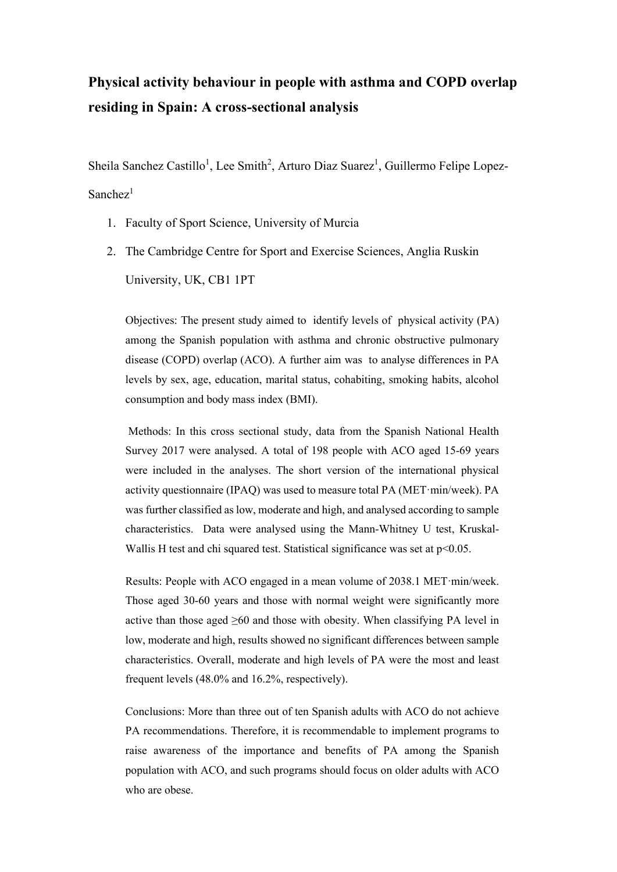# **Physical activity behaviour in people with asthma and COPD overlap residing in Spain: A cross-sectional analysis**

Sheila Sanchez Castillo<sup>1</sup>, Lee Smith<sup>2</sup>, Arturo Diaz Suarez<sup>1</sup>, Guillermo Felipe Lopez- $S$ anchez $<sup>1</sup>$ </sup>

- 1. Faculty of Sport Science, University of Murcia
- 2. The Cambridge Centre for Sport and Exercise Sciences, Anglia Ruskin University, UK, CB1 1PT

Objectives: The present study aimed to identify levels of physical activity (PA) among the Spanish population with asthma and chronic obstructive pulmonary disease (COPD) overlap (ACO). A further aim was to analyse differences in PA levels by sex, age, education, marital status, cohabiting, smoking habits, alcohol consumption and body mass index (BMI).

Methods: In this cross sectional study, data from the Spanish National Health Survey 2017 were analysed. A total of 198 people with ACO aged 15-69 years were included in the analyses. The short version of the international physical activity questionnaire (IPAQ) was used to measure total PA (MET·min/week). PA was further classified as low, moderate and high, and analysed according to sample characteristics. Data were analysed using the Mann-Whitney U test, Kruskal-Wallis H test and chi squared test. Statistical significance was set at p<0.05.

Results: People with ACO engaged in a mean volume of 2038.1 MET·min/week. Those aged 30-60 years and those with normal weight were significantly more active than those aged ≥60 and those with obesity. When classifying PA level in low, moderate and high, results showed no significant differences between sample characteristics. Overall, moderate and high levels of PA were the most and least frequent levels (48.0% and 16.2%, respectively).

Conclusions: More than three out of ten Spanish adults with ACO do not achieve PA recommendations. Therefore, it is recommendable to implement programs to raise awareness of the importance and benefits of PA among the Spanish population with ACO, and such programs should focus on older adults with ACO who are obese.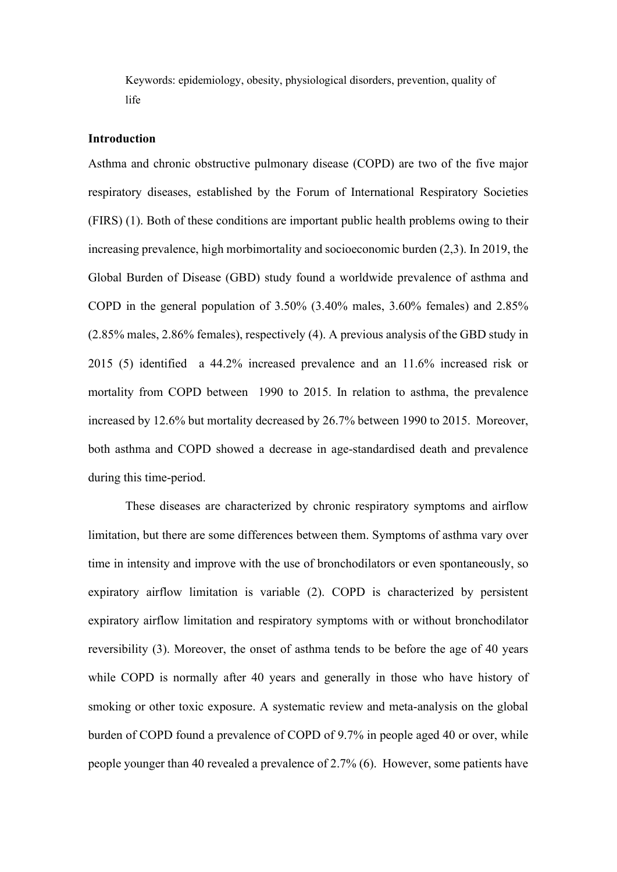Keywords: epidemiology, obesity, physiological disorders, prevention, quality of life

## **Introduction**

Asthma and chronic obstructive pulmonary disease (COPD) are two of the five major respiratory diseases, established by the Forum of International Respiratory Societies (FIRS) (1). Both of these conditions are important public health problems owing to their increasing prevalence, high morbimortality and socioeconomic burden (2,3). In 2019, the Global Burden of Disease (GBD) study found a worldwide prevalence of asthma and COPD in the general population of 3.50% (3.40% males, 3.60% females) and 2.85% (2.85% males, 2.86% females), respectively (4). A previous analysis of the GBD study in 2015 (5) identified a 44.2% increased prevalence and an 11.6% increased risk or mortality from COPD between 1990 to 2015. In relation to asthma, the prevalence increased by 12.6% but mortality decreased by 26.7% between 1990 to 2015. Moreover, both asthma and COPD showed a decrease in age-standardised death and prevalence during this time-period.

These diseases are characterized by chronic respiratory symptoms and airflow limitation, but there are some differences between them. Symptoms of asthma vary over time in intensity and improve with the use of bronchodilators or even spontaneously, so expiratory airflow limitation is variable (2). COPD is characterized by persistent expiratory airflow limitation and respiratory symptoms with or without bronchodilator reversibility (3). Moreover, the onset of asthma tends to be before the age of 40 years while COPD is normally after 40 years and generally in those who have history of smoking or other toxic exposure. A systematic review and meta-analysis on the global burden of COPD found a prevalence of COPD of 9.7% in people aged 40 or over, while people younger than 40 revealed a prevalence of 2.7% (6). However, some patients have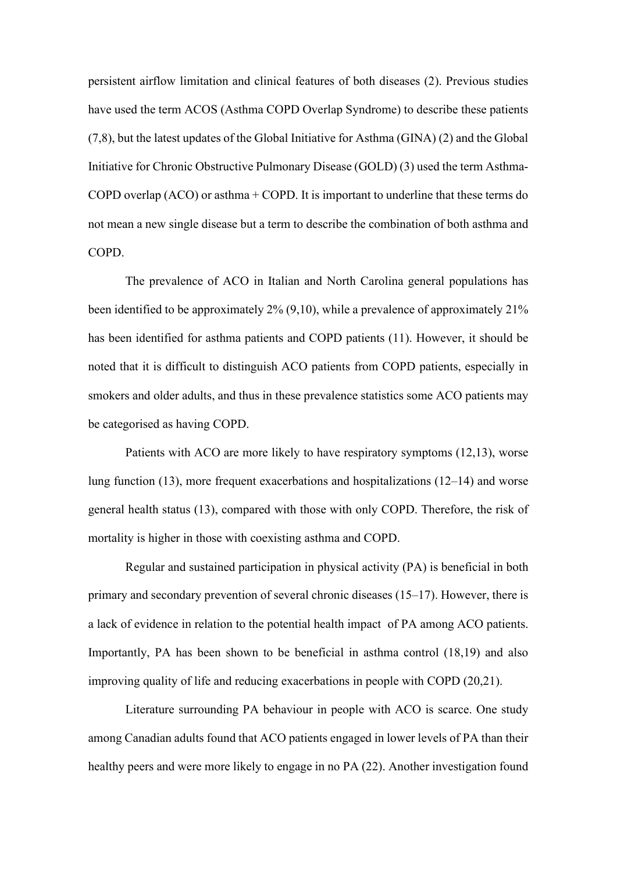persistent airflow limitation and clinical features of both diseases (2). Previous studies have used the term ACOS (Asthma COPD Overlap Syndrome) to describe these patients (7,8), but the latest updates of the Global Initiative for Asthma (GINA) (2) and the Global Initiative for Chronic Obstructive Pulmonary Disease (GOLD) (3) used the term Asthma-COPD overlap  $(ACO)$  or asthma  $+$  COPD. It is important to underline that these terms do not mean a new single disease but a term to describe the combination of both asthma and COPD.

The prevalence of ACO in Italian and North Carolina general populations has been identified to be approximately 2% (9,10), while a prevalence of approximately 21% has been identified for asthma patients and COPD patients (11). However, it should be noted that it is difficult to distinguish ACO patients from COPD patients, especially in smokers and older adults, and thus in these prevalence statistics some ACO patients may be categorised as having COPD.

Patients with ACO are more likely to have respiratory symptoms (12,13), worse lung function (13), more frequent exacerbations and hospitalizations (12–14) and worse general health status (13), compared with those with only COPD. Therefore, the risk of mortality is higher in those with coexisting asthma and COPD.

Regular and sustained participation in physical activity (PA) is beneficial in both primary and secondary prevention of several chronic diseases (15–17). However, there is a lack of evidence in relation to the potential health impact of PA among ACO patients. Importantly, PA has been shown to be beneficial in asthma control (18,19) and also improving quality of life and reducing exacerbations in people with COPD (20,21).

Literature surrounding PA behaviour in people with ACO is scarce. One study among Canadian adults found that ACO patients engaged in lower levels of PA than their healthy peers and were more likely to engage in no PA (22). Another investigation found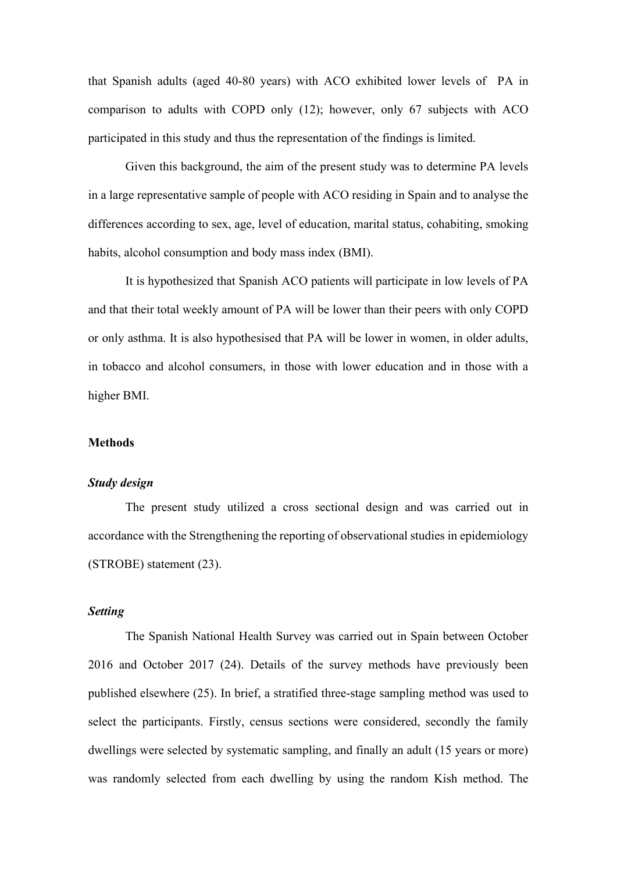that Spanish adults (aged 40-80 years) with ACO exhibited lower levels of PA in comparison to adults with COPD only (12); however, only 67 subjects with ACO participated in this study and thus the representation of the findings is limited.

Given this background, the aim of the present study was to determine PA levels in a large representative sample of people with ACO residing in Spain and to analyse the differences according to sex, age, level of education, marital status, cohabiting, smoking habits, alcohol consumption and body mass index (BMI).

It is hypothesized that Spanish ACO patients will participate in low levels of PA and that their total weekly amount of PA will be lower than their peers with only COPD or only asthma. It is also hypothesised that PA will be lower in women, in older adults, in tobacco and alcohol consumers, in those with lower education and in those with a higher BMI.

### **Methods**

# *Study design*

The present study utilized a cross sectional design and was carried out in accordance with the Strengthening the reporting of observational studies in epidemiology (STROBE) statement (23).

# *Setting*

The Spanish National Health Survey was carried out in Spain between October 2016 and October 2017 (24). Details of the survey methods have previously been published elsewhere (25). In brief, a stratified three-stage sampling method was used to select the participants. Firstly, census sections were considered, secondly the family dwellings were selected by systematic sampling, and finally an adult (15 years or more) was randomly selected from each dwelling by using the random Kish method. The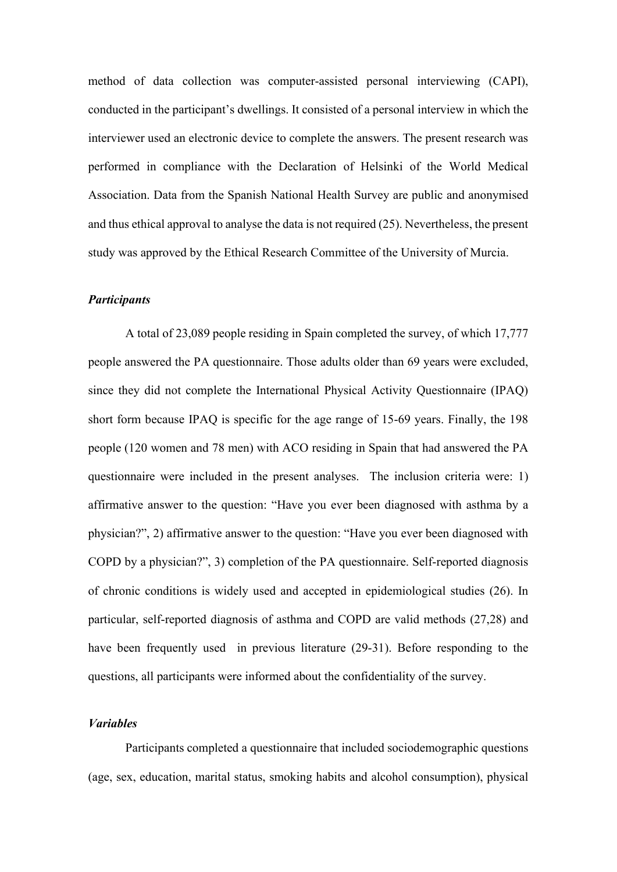method of data collection was computer-assisted personal interviewing (CAPI), conducted in the participant's dwellings. It consisted of a personal interview in which the interviewer used an electronic device to complete the answers. The present research was performed in compliance with the Declaration of Helsinki of the World Medical Association. Data from the Spanish National Health Survey are public and anonymised and thus ethical approval to analyse the data is not required (25). Nevertheless, the present study was approved by the Ethical Research Committee of the University of Murcia.

#### *Participants*

A total of 23,089 people residing in Spain completed the survey, of which 17,777 people answered the PA questionnaire. Those adults older than 69 years were excluded, since they did not complete the International Physical Activity Questionnaire (IPAQ) short form because IPAQ is specific for the age range of 15-69 years. Finally, the 198 people (120 women and 78 men) with ACO residing in Spain that had answered the PA questionnaire were included in the present analyses. The inclusion criteria were: 1) affirmative answer to the question: "Have you ever been diagnosed with asthma by a physician?", 2) affirmative answer to the question: "Have you ever been diagnosed with COPD by a physician?", 3) completion of the PA questionnaire. Self-reported diagnosis of chronic conditions is widely used and accepted in epidemiological studies (26). In particular, self-reported diagnosis of asthma and COPD are valid methods (27,28) and have been frequently used in previous literature (29-31). Before responding to the questions, all participants were informed about the confidentiality of the survey.

## *Variables*

Participants completed a questionnaire that included sociodemographic questions (age, sex, education, marital status, smoking habits and alcohol consumption), physical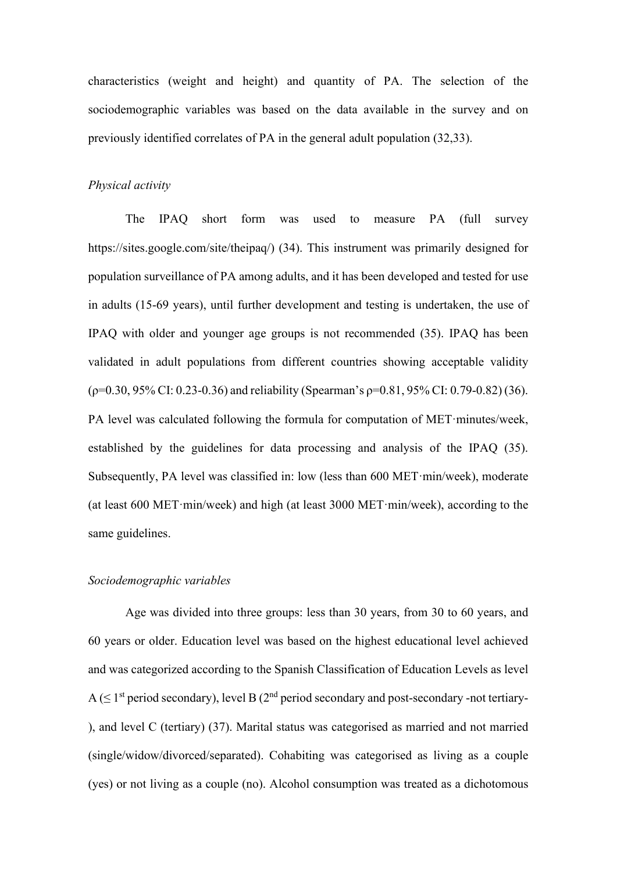characteristics (weight and height) and quantity of PA. The selection of the sociodemographic variables was based on the data available in the survey and on previously identified correlates of PA in the general adult population (32,33).

## *Physical activity*

The IPAQ short form was used to measure PA (full survey https://sites.google.com/site/theipaq/) (34). This instrument was primarily designed for population surveillance of PA among adults, and it has been developed and tested for use in adults (15-69 years), until further development and testing is undertaken, the use of IPAQ with older and younger age groups is not recommended (35). IPAQ has been validated in adult populations from different countries showing acceptable validity  $(\rho=0.30, 95\% \text{ CI: } 0.23-0.36)$  and reliability (Spearman's  $\rho=0.81, 95\% \text{ CI: } 0.79-0.82$ ) (36). PA level was calculated following the formula for computation of MET·minutes/week, established by the guidelines for data processing and analysis of the IPAQ (35). Subsequently, PA level was classified in: low (less than 600 MET·min/week), moderate (at least 600 MET·min/week) and high (at least 3000 MET·min/week), according to the same guidelines.

## *Sociodemographic variables*

Age was divided into three groups: less than 30 years, from 30 to 60 years, and 60 years or older. Education level was based on the highest educational level achieved and was categorized according to the Spanish Classification of Education Levels as level A ( $\leq 1$ <sup>st</sup> period secondary), level B ( $2<sup>nd</sup>$  period secondary and post-secondary -not tertiary-), and level C (tertiary) (37). Marital status was categorised as married and not married (single/widow/divorced/separated). Cohabiting was categorised as living as a couple (yes) or not living as a couple (no). Alcohol consumption was treated as a dichotomous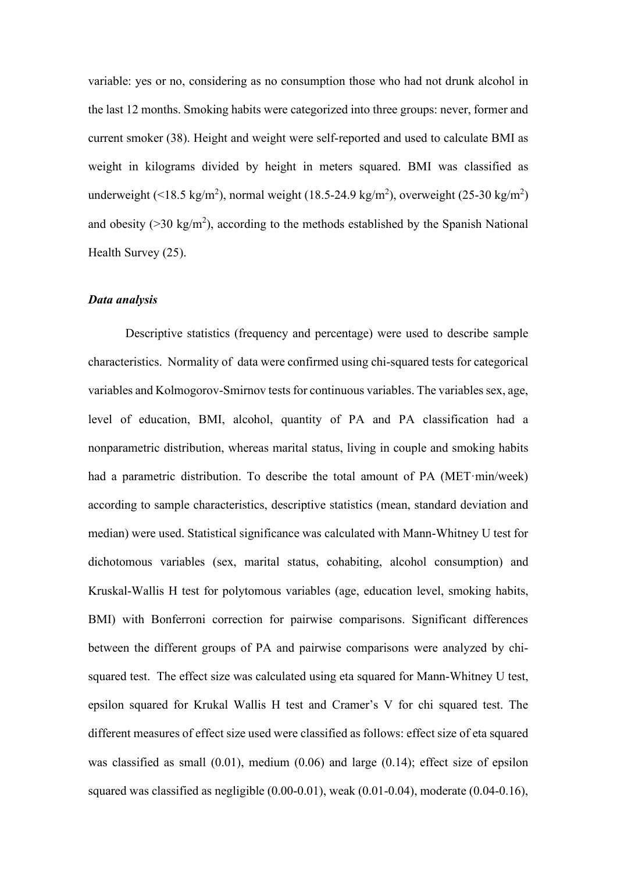variable: yes or no, considering as no consumption those who had not drunk alcohol in the last 12 months. Smoking habits were categorized into three groups: never, former and current smoker (38). Height and weight were self-reported and used to calculate BMI as weight in kilograms divided by height in meters squared. BMI was classified as underweight (<18.5 kg/m<sup>2</sup>), normal weight (18.5-24.9 kg/m<sup>2</sup>), overweight (25-30 kg/m<sup>2</sup>) and obesity ( $>$ 30 kg/m<sup>2</sup>), according to the methods established by the Spanish National Health Survey (25).

#### *Data analysis*

Descriptive statistics (frequency and percentage) were used to describe sample characteristics. Normality of data were confirmed using chi-squared tests for categorical variables and Kolmogorov-Smirnov tests for continuous variables. The variables sex, age, level of education, BMI, alcohol, quantity of PA and PA classification had a nonparametric distribution, whereas marital status, living in couple and smoking habits had a parametric distribution. To describe the total amount of PA (MET·min/week) according to sample characteristics, descriptive statistics (mean, standard deviation and median) were used. Statistical significance was calculated with Mann-Whitney U test for dichotomous variables (sex, marital status, cohabiting, alcohol consumption) and Kruskal-Wallis H test for polytomous variables (age, education level, smoking habits, BMI) with Bonferroni correction for pairwise comparisons. Significant differences between the different groups of PA and pairwise comparisons were analyzed by chisquared test. The effect size was calculated using eta squared for Mann-Whitney U test, epsilon squared for Krukal Wallis H test and Cramer's V for chi squared test. The different measures of effect size used were classified as follows: effect size of eta squared was classified as small (0.01), medium (0.06) and large (0.14); effect size of epsilon squared was classified as negligible  $(0.00-0.01)$ , weak  $(0.01-0.04)$ , moderate  $(0.04-0.16)$ ,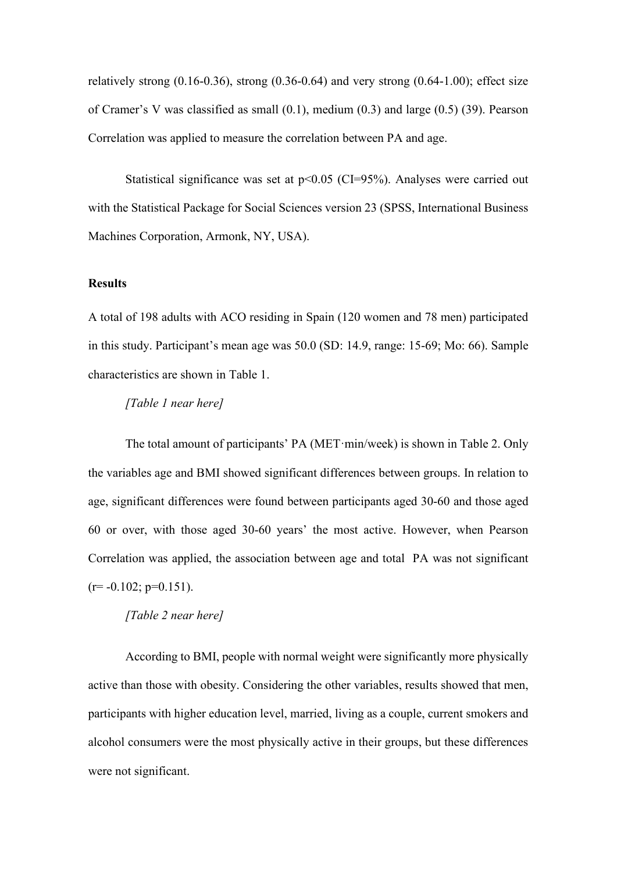relatively strong  $(0.16-0.36)$ , strong  $(0.36-0.64)$  and very strong  $(0.64-1.00)$ ; effect size of Cramer's V was classified as small (0.1), medium (0.3) and large (0.5) (39). Pearson Correlation was applied to measure the correlation between PA and age.

Statistical significance was set at  $p<0.05$  (CI=95%). Analyses were carried out with the Statistical Package for Social Sciences version 23 (SPSS, International Business Machines Corporation, Armonk, NY, USA).

## **Results**

A total of 198 adults with ACO residing in Spain (120 women and 78 men) participated in this study. Participant's mean age was 50.0 (SD: 14.9, range: 15-69; Mo: 66). Sample characteristics are shown in Table 1.

## *[Table 1 near here]*

The total amount of participants' PA (MET·min/week) is shown in Table 2. Only the variables age and BMI showed significant differences between groups. In relation to age, significant differences were found between participants aged 30-60 and those aged 60 or over, with those aged 30-60 years' the most active. However, when Pearson Correlation was applied, the association between age and total PA was not significant  $(r=-0.102; p=0.151)$ .

## *[Table 2 near here]*

According to BMI, people with normal weight were significantly more physically active than those with obesity. Considering the other variables, results showed that men, participants with higher education level, married, living as a couple, current smokers and alcohol consumers were the most physically active in their groups, but these differences were not significant.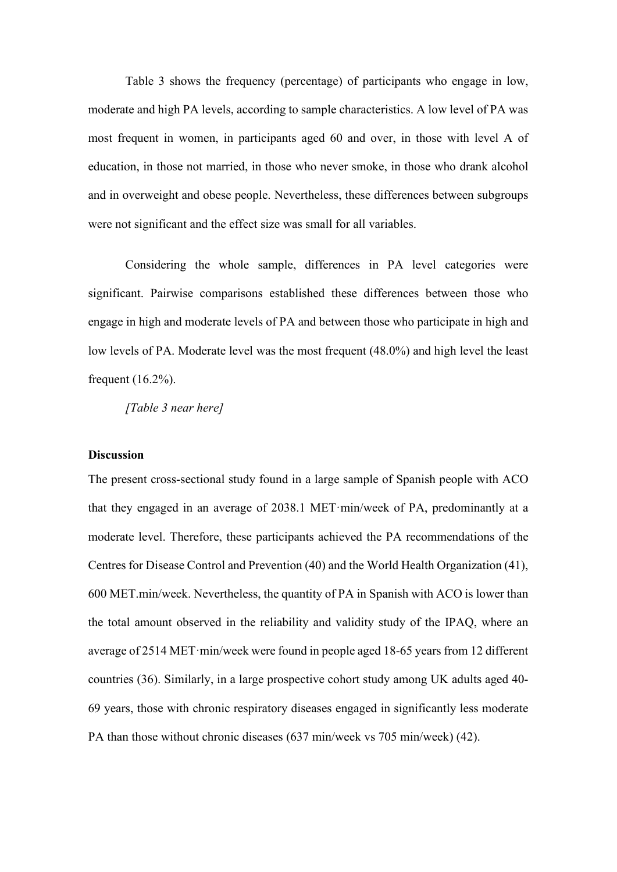Table 3 shows the frequency (percentage) of participants who engage in low, moderate and high PA levels, according to sample characteristics. A low level of PA was most frequent in women, in participants aged 60 and over, in those with level A of education, in those not married, in those who never smoke, in those who drank alcohol and in overweight and obese people. Nevertheless, these differences between subgroups were not significant and the effect size was small for all variables.

Considering the whole sample, differences in PA level categories were significant. Pairwise comparisons established these differences between those who engage in high and moderate levels of PA and between those who participate in high and low levels of PA. Moderate level was the most frequent (48.0%) and high level the least frequent (16.2%).

*[Table 3 near here]*

#### **Discussion**

The present cross-sectional study found in a large sample of Spanish people with ACO that they engaged in an average of 2038.1 MET·min/week of PA, predominantly at a moderate level. Therefore, these participants achieved the PA recommendations of the Centres for Disease Control and Prevention (40) and the World Health Organization (41), 600 MET.min/week. Nevertheless, the quantity of PA in Spanish with ACO is lower than the total amount observed in the reliability and validity study of the IPAQ, where an average of 2514 MET·min/week were found in people aged 18-65 years from 12 different countries (36). Similarly, in a large prospective cohort study among UK adults aged 40- 69 years, those with chronic respiratory diseases engaged in significantly less moderate PA than those without chronic diseases (637 min/week vs 705 min/week) (42).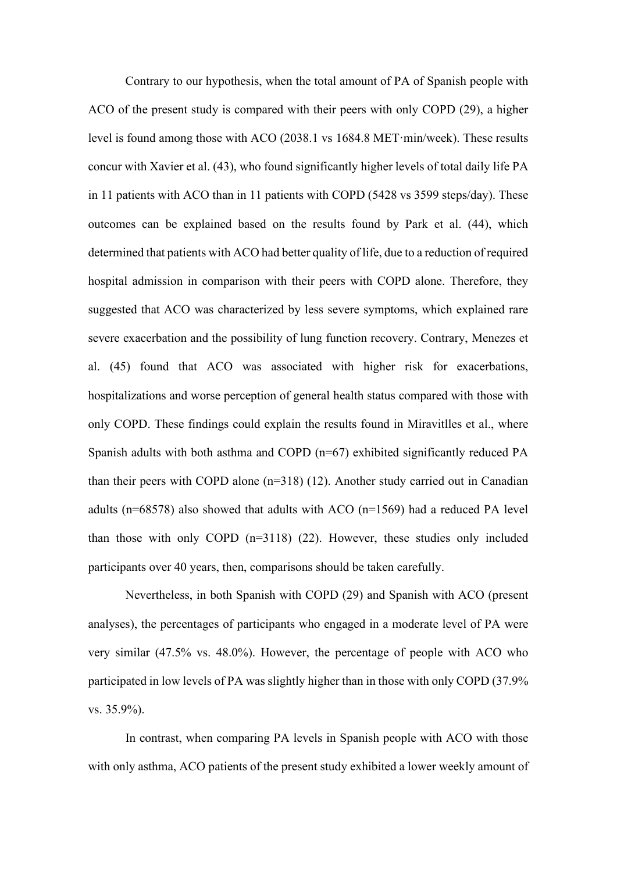Contrary to our hypothesis, when the total amount of PA of Spanish people with ACO of the present study is compared with their peers with only COPD (29), a higher level is found among those with ACO (2038.1 vs 1684.8 MET·min/week). These results concur with Xavier et al. (43), who found significantly higher levels of total daily life PA in 11 patients with ACO than in 11 patients with COPD (5428 vs 3599 steps/day). These outcomes can be explained based on the results found by Park et al. (44), which determined that patients with ACO had better quality of life, due to a reduction of required hospital admission in comparison with their peers with COPD alone. Therefore, they suggested that ACO was characterized by less severe symptoms, which explained rare severe exacerbation and the possibility of lung function recovery. Contrary, Menezes et al. (45) found that ACO was associated with higher risk for exacerbations, hospitalizations and worse perception of general health status compared with those with only COPD. These findings could explain the results found in Miravitlles et al., where Spanish adults with both asthma and COPD (n=67) exhibited significantly reduced PA than their peers with COPD alone (n=318) (12). Another study carried out in Canadian adults ( $n=68578$ ) also showed that adults with ACO ( $n=1569$ ) had a reduced PA level than those with only COPD (n=3118) (22). However, these studies only included participants over 40 years, then, comparisons should be taken carefully.

Nevertheless, in both Spanish with COPD (29) and Spanish with ACO (present analyses), the percentages of participants who engaged in a moderate level of PA were very similar (47.5% vs. 48.0%). However, the percentage of people with ACO who participated in low levels of PA was slightly higher than in those with only COPD (37.9% vs. 35.9%).

In contrast, when comparing PA levels in Spanish people with ACO with those with only asthma, ACO patients of the present study exhibited a lower weekly amount of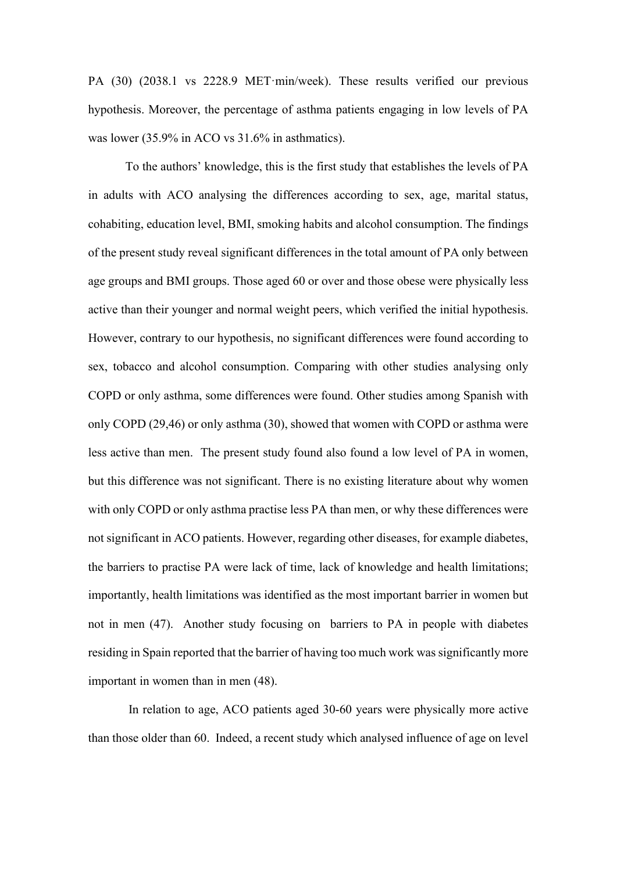PA (30) (2038.1 vs 2228.9 MET·min/week). These results verified our previous hypothesis. Moreover, the percentage of asthma patients engaging in low levels of PA was lower (35.9% in ACO vs 31.6% in asthmatics).

To the authors' knowledge, this is the first study that establishes the levels of PA in adults with ACO analysing the differences according to sex, age, marital status, cohabiting, education level, BMI, smoking habits and alcohol consumption. The findings of the present study reveal significant differences in the total amount of PA only between age groups and BMI groups. Those aged 60 or over and those obese were physically less active than their younger and normal weight peers, which verified the initial hypothesis. However, contrary to our hypothesis, no significant differences were found according to sex, tobacco and alcohol consumption. Comparing with other studies analysing only COPD or only asthma, some differences were found. Other studies among Spanish with only COPD (29,46) or only asthma (30), showed that women with COPD or asthma were less active than men. The present study found also found a low level of PA in women, but this difference was not significant. There is no existing literature about why women with only COPD or only asthma practise less PA than men, or why these differences were not significant in ACO patients. However, regarding other diseases, for example diabetes, the barriers to practise PA were lack of time, lack of knowledge and health limitations; importantly, health limitations was identified as the most important barrier in women but not in men (47). Another study focusing on barriers to PA in people with diabetes residing in Spain reported that the barrier of having too much work was significantly more important in women than in men (48).

In relation to age, ACO patients aged 30-60 years were physically more active than those older than 60. Indeed, a recent study which analysed influence of age on level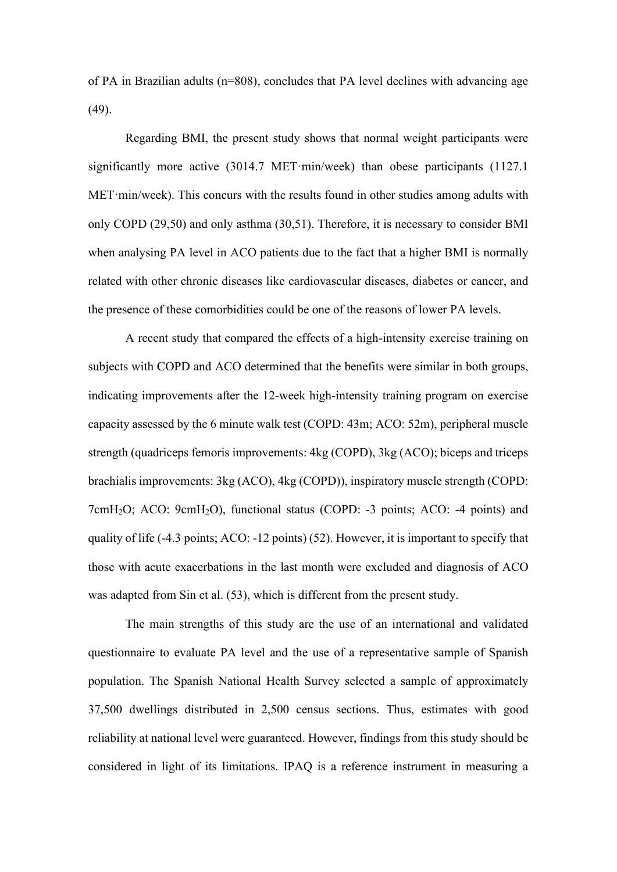of PA in Brazilian adults (n=808), concludes that PA level declines with advancing age (49).

Regarding BMI, the present study shows that normal weight participants were significantly more active (3014.7 MET·min/week) than obese participants (1127.1 MET·min/week). This concurs with the results found in other studies among adults with only COPD (29,50) and only asthma (30,51). Therefore, it is necessary to consider BMI when analysing PA level in ACO patients due to the fact that a higher BMI is normally related with other chronic diseases like cardiovascular diseases, diabetes or cancer, and the presence of these comorbidities could be one of the reasons of lower PA levels.

A recent study that compared the effects of a high-intensity exercise training on subjects with COPD and ACO determined that the benefits were similar in both groups, indicating improvements after the 12-week high-intensity training program on exercise capacity assessed by the 6 minute walk test (COPD: 43m; ACO: 52m), peripheral muscle strength (quadriceps femoris improvements: 4kg (COPD), 3kg (ACO); biceps and triceps brachialis improvements: 3kg (ACO), 4kg (COPD)), inspiratory muscle strength (COPD: 7cmH2O; ACO: 9cmH2O), functional status (COPD: -3 points; ACO: -4 points) and quality of life (-4.3 points; ACO: -12 points) (52). However, it is important to specify that those with acute exacerbations in the last month were excluded and diagnosis of ACO was adapted from Sin et al. (53), which is different from the present study.

The main strengths of this study are the use of an international and validated questionnaire to evaluate PA level and the use of a representative sample of Spanish population. The Spanish National Health Survey selected a sample of approximately 37,500 dwellings distributed in 2,500 census sections. Thus, estimates with good reliability at national level were guaranteed. However, findings from this study should be considered in light of its limitations. IPAQ is a reference instrument in measuring a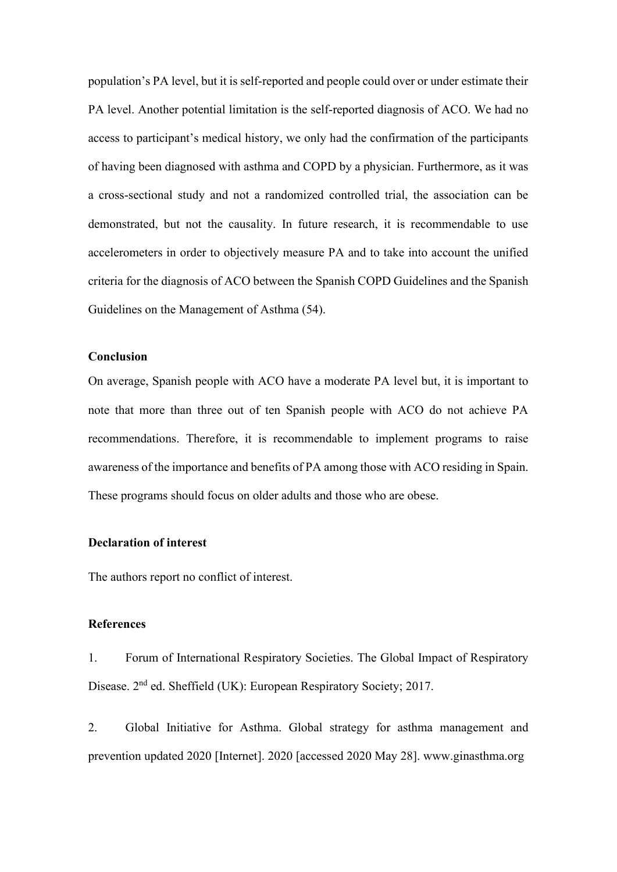population's PA level, but it is self-reported and people could over or under estimate their PA level. Another potential limitation is the self-reported diagnosis of ACO. We had no access to participant's medical history, we only had the confirmation of the participants of having been diagnosed with asthma and COPD by a physician. Furthermore, as it was a cross-sectional study and not a randomized controlled trial, the association can be demonstrated, but not the causality. In future research, it is recommendable to use accelerometers in order to objectively measure PA and to take into account the unified criteria for the diagnosis of ACO between the Spanish COPD Guidelines and the Spanish Guidelines on the Management of Asthma (54).

## **Conclusion**

On average, Spanish people with ACO have a moderate PA level but, it is important to note that more than three out of ten Spanish people with ACO do not achieve PA recommendations. Therefore, it is recommendable to implement programs to raise awareness of the importance and benefits of PA among those with ACO residing in Spain. These programs should focus on older adults and those who are obese.

# **Declaration of interest**

The authors report no conflict of interest.

#### **References**

1. Forum of International Respiratory Societies. The Global Impact of Respiratory Disease. 2<sup>nd</sup> ed. Sheffield (UK): European Respiratory Society; 2017.

2. Global Initiative for Asthma. Global strategy for asthma management and prevention updated 2020 [Internet]. 2020 [accessed 2020 May 28]. www.ginasthma.org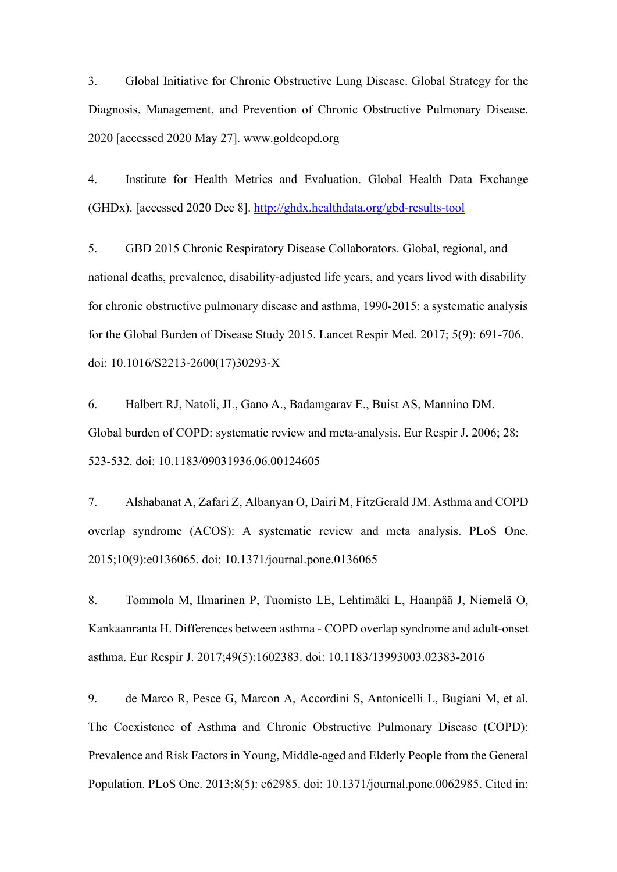3. Global Initiative for Chronic Obstructive Lung Disease. Global Strategy for the Diagnosis, Management, and Prevention of Chronic Obstructive Pulmonary Disease. 2020 [accessed 2020 May 27]. www.goldcopd.org

4. Institute for Health Metrics and Evaluation. Global Health Data Exchange (GHDx). [accessed 2020 Dec 8].<http://ghdx.healthdata.org/gbd-results-tool>

5. GBD 2015 Chronic Respiratory Disease Collaborators. Global, regional, and national deaths, prevalence, disability-adjusted life years, and years lived with disability for chronic obstructive pulmonary disease and asthma, 1990-2015: a systematic analysis for the Global Burden of Disease Study 2015. Lancet Respir Med. 2017; 5(9): 691-706. doi: 10.1016/S2213-2600(17)30293-X

6. Halbert RJ, Natoli, JL, Gano A., Badamgarav E., Buist AS, Mannino DM. Global burden of COPD: systematic review and meta-analysis. Eur Respir J. 2006; 28: 523-532. doi: 10.1183/09031936.06.00124605

7. Alshabanat A, Zafari Z, Albanyan O, Dairi M, FitzGerald JM. Asthma and COPD overlap syndrome (ACOS): A systematic review and meta analysis. PLoS One. 2015;10(9):e0136065. doi: 10.1371/journal.pone.0136065

8. Tommola M, Ilmarinen P, Tuomisto LE, Lehtimäki L, Haanpää J, Niemelä O, Kankaanranta H. Differences between asthma - COPD overlap syndrome and adult-onset asthma. Eur Respir J. 2017;49(5):1602383. doi: 10.1183/13993003.02383-2016

9. de Marco R, Pesce G, Marcon A, Accordini S, Antonicelli L, Bugiani M, et al. The Coexistence of Asthma and Chronic Obstructive Pulmonary Disease (COPD): Prevalence and Risk Factors in Young, Middle-aged and Elderly People from the General Population. PLoS One. 2013;8(5): e62985. doi: 10.1371/journal.pone.0062985. Cited in: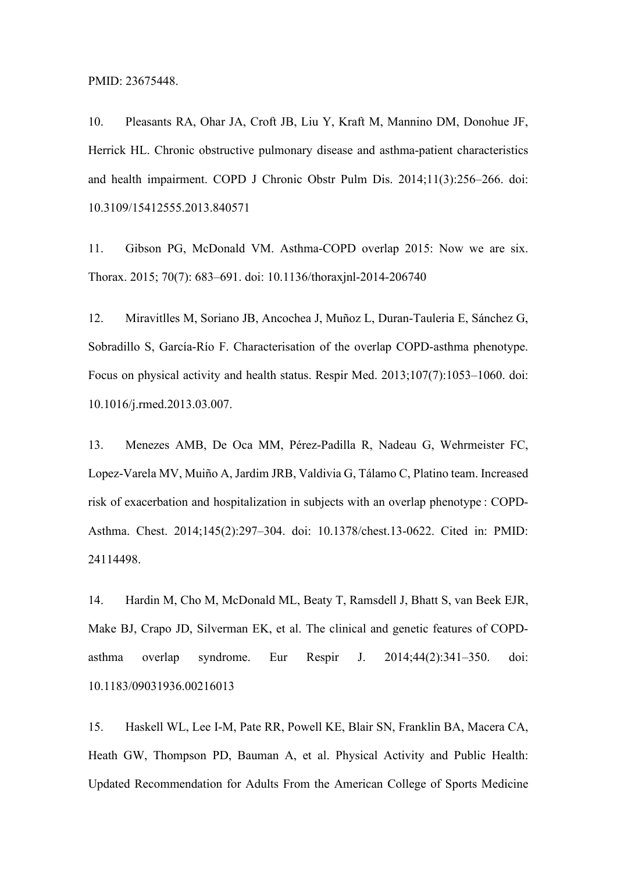PMID: 23675448.

10. Pleasants RA, Ohar JA, Croft JB, Liu Y, Kraft M, Mannino DM, Donohue JF, Herrick HL. Chronic obstructive pulmonary disease and asthma-patient characteristics and health impairment. COPD J Chronic Obstr Pulm Dis. 2014;11(3):256–266. doi: 10.3109/15412555.2013.840571

11. Gibson PG, McDonald VM. Asthma-COPD overlap 2015: Now we are six. Thorax. 2015; 70(7): 683–691. doi: 10.1136/thoraxjnl-2014-206740

12. Miravitlles M, Soriano JB, Ancochea J, Muñoz L, Duran-Tauleria E, Sánchez G, Sobradillo S, García-Río F. Characterisation of the overlap COPD-asthma phenotype. Focus on physical activity and health status. Respir Med. 2013;107(7):1053–1060. doi: 10.1016/j.rmed.2013.03.007.

13. Menezes AMB, De Oca MM, Pérez-Padilla R, Nadeau G, Wehrmeister FC, Lopez-Varela MV, Muiño A, Jardim JRB, Valdivia G, Tálamo C, Platino team. Increased risk of exacerbation and hospitalization in subjects with an overlap phenotype : COPD-Asthma. Chest. 2014;145(2):297–304. doi: 10.1378/chest.13-0622. Cited in: PMID: 24114498.

14. Hardin M, Cho M, McDonald ML, Beaty T, Ramsdell J, Bhatt S, van Beek EJR, Make BJ, Crapo JD, Silverman EK, et al. The clinical and genetic features of COPDasthma overlap syndrome. Eur Respir J. 2014;44(2):341–350. doi: 10.1183/09031936.00216013

15. Haskell WL, Lee I-M, Pate RR, Powell KE, Blair SN, Franklin BA, Macera CA, Heath GW, Thompson PD, Bauman A, et al. Physical Activity and Public Health: Updated Recommendation for Adults From the American College of Sports Medicine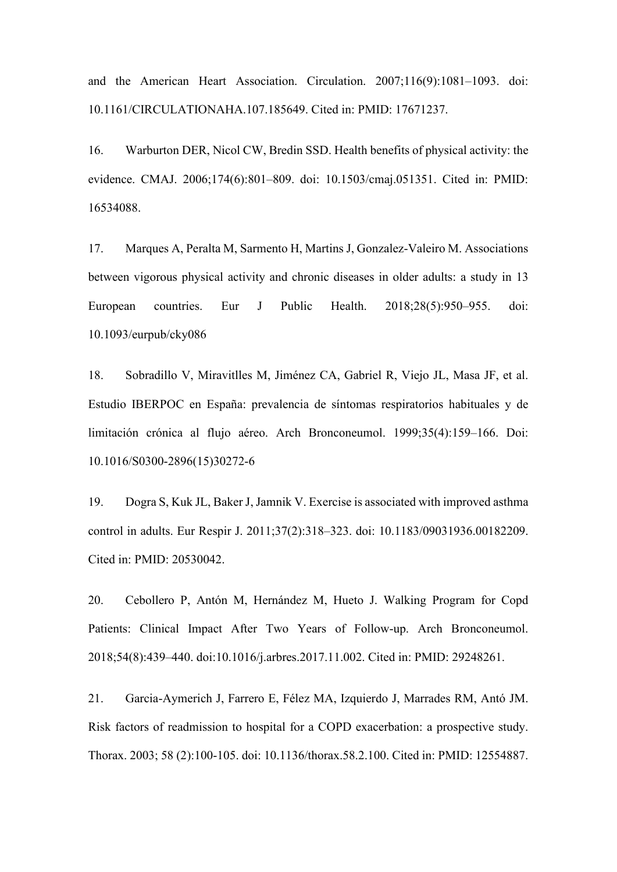and the American Heart Association. Circulation. 2007;116(9):1081–1093. doi: 10.1161/CIRCULATIONAHA.107.185649. Cited in: PMID: 17671237.

16. Warburton DER, Nicol CW, Bredin SSD. Health benefits of physical activity: the evidence. CMAJ. 2006;174(6):801–809. doi: 10.1503/cmaj.051351. Cited in: PMID: 16534088.

17. Marques A, Peralta M, Sarmento H, Martins J, Gonzalez-Valeiro M. Associations between vigorous physical activity and chronic diseases in older adults: a study in 13 European countries. Eur J Public Health. 2018;28(5):950–955. doi: 10.1093/eurpub/cky086

18. Sobradillo V, Miravitlles M, Jiménez CA, Gabriel R, Viejo JL, Masa JF, et al. Estudio IBERPOC en España: prevalencia de síntomas respiratorios habituales y de limitación crónica al flujo aéreo. Arch Bronconeumol. 1999;35(4):159–166. Doi: 10.1016/S0300-2896(15)30272-6

19. Dogra S, Kuk JL, Baker J, Jamnik V. Exercise is associated with improved asthma control in adults. Eur Respir J. 2011;37(2):318–323. doi: 10.1183/09031936.00182209. Cited in: PMID: 20530042.

20. Cebollero P, Antón M, Hernández M, Hueto J. Walking Program for Copd Patients: Clinical Impact After Two Years of Follow-up. Arch Bronconeumol. 2018;54(8):439–440. doi:10.1016/j.arbres.2017.11.002. Cited in: PMID: 29248261.

21. Garcia-Aymerich J, Farrero E, Félez MA, Izquierdo J, Marrades RM, Antó JM. Risk factors of readmission to hospital for a COPD exacerbation: a prospective study. Thorax. 2003; 58 (2):100-105. doi: 10.1136/thorax.58.2.100. Cited in: PMID: 12554887.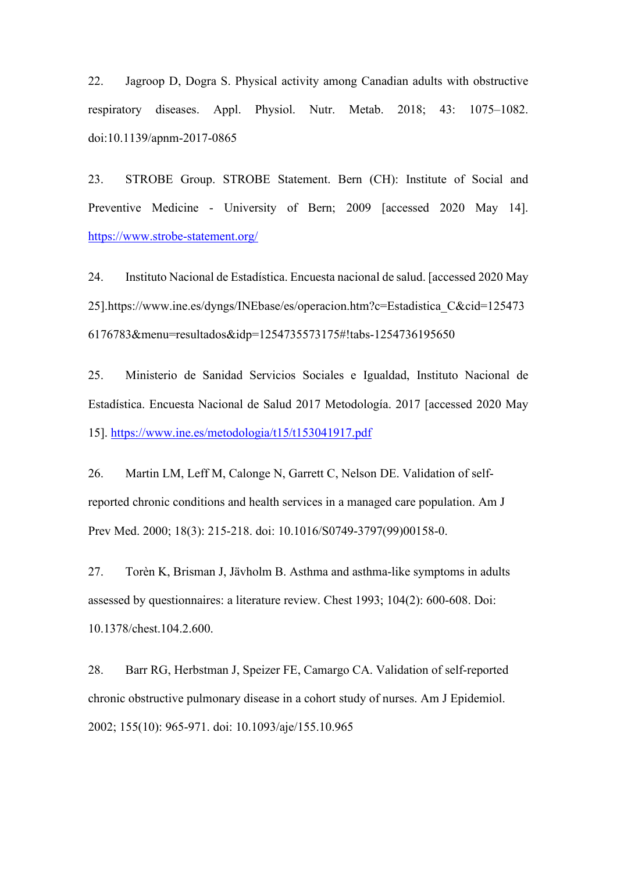22. Jagroop D, Dogra S. Physical activity among Canadian adults with obstructive respiratory diseases. Appl. Physiol. Nutr. Metab. 2018; 43: 1075–1082. doi:10.1139/apnm-2017-0865

23. STROBE Group. STROBE Statement. Bern (CH): Institute of Social and Preventive Medicine - University of Bern; 2009 [accessed 2020 May 14]. <https://www.strobe-statement.org/>

24. Instituto Nacional de Estadística. Encuesta nacional de salud. [accessed 2020 May 25].https://www.ine.es/dyngs/INEbase/es/operacion.htm?c=Estadistica\_C&cid=125473 6176783&menu=resultados&idp=1254735573175#!tabs-1254736195650

25. Ministerio de Sanidad Servicios Sociales e Igualdad, Instituto Nacional de Estadística. Encuesta Nacional de Salud 2017 Metodología. 2017 [accessed 2020 May 15].<https://www.ine.es/metodologia/t15/t153041917.pdf>

26. Martin LM, Leff M, Calonge N, Garrett C, Nelson DE. Validation of selfreported chronic conditions and health services in a managed care population. Am J Prev Med. 2000; 18(3): 215-218. doi: 10.1016/S0749-3797(99)00158-0.

27. Torèn K, Brisman J, Jävholm B. Asthma and asthma-like symptoms in adults assessed by questionnaires: a literature review. Chest 1993; 104(2): 600-608. Doi: 10.1378/chest.104.2.600.

28. Barr RG, Herbstman J, Speizer FE, Camargo CA. Validation of self-reported chronic obstructive pulmonary disease in a cohort study of nurses. Am J Epidemiol. 2002; 155(10): 965-971. doi: 10.1093/aje/155.10.965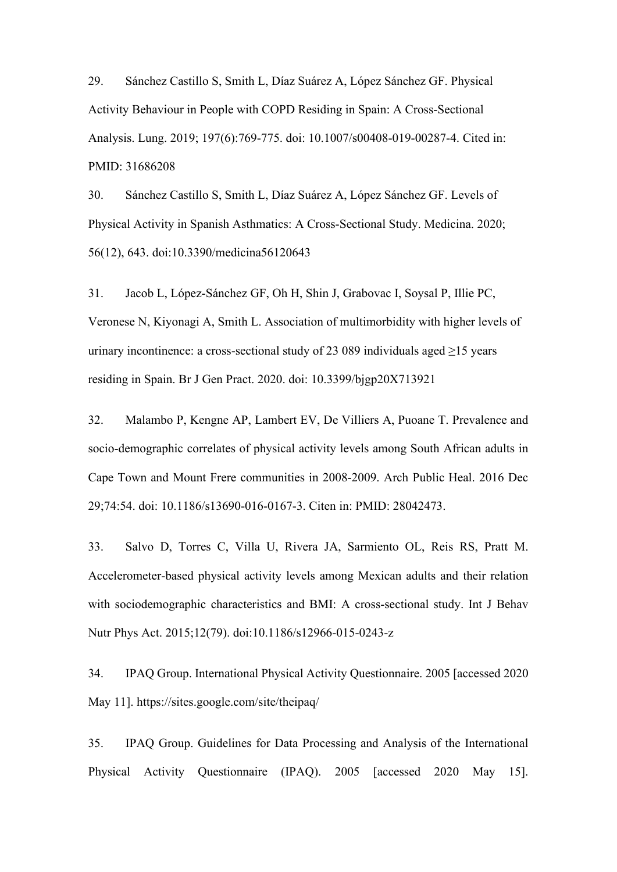29. Sánchez Castillo S, Smith L, Díaz Suárez A, López Sánchez GF. Physical Activity Behaviour in People with COPD Residing in Spain: A Cross-Sectional Analysis. Lung. 2019; 197(6):769-775. doi: 10.1007/s00408-019-00287-4. Cited in: PMID: 31686208

30. Sánchez Castillo S, Smith L, Díaz Suárez A, López Sánchez GF. Levels of Physical Activity in Spanish Asthmatics: A Cross-Sectional Study. Medicina. 2020; 56(12), 643. doi:10.3390/medicina56120643

31. Jacob L, López-Sánchez GF, Oh H, Shin J, Grabovac I, Soysal P, Illie PC, Veronese N, Kiyonagi A, Smith L. Association of multimorbidity with higher levels of urinary incontinence: a cross-sectional study of 23 089 individuals aged  $\geq$ 15 years residing in Spain. Br J Gen Pract. 2020. doi: 10.3399/bjgp20X713921

32. Malambo P, Kengne AP, Lambert EV, De Villiers A, Puoane T. Prevalence and socio-demographic correlates of physical activity levels among South African adults in Cape Town and Mount Frere communities in 2008-2009. Arch Public Heal. 2016 Dec 29;74:54. doi: 10.1186/s13690-016-0167-3. Citen in: PMID: 28042473.

33. Salvo D, Torres C, Villa U, Rivera JA, Sarmiento OL, Reis RS, Pratt M. Accelerometer-based physical activity levels among Mexican adults and their relation with sociodemographic characteristics and BMI: A cross-sectional study. Int J Behav Nutr Phys Act. 2015;12(79). doi:10.1186/s12966-015-0243-z

34. IPAQ Group. International Physical Activity Questionnaire. 2005 [accessed 2020 May 11]. https://sites.google.com/site/theipaq/

35. IPAQ Group. Guidelines for Data Processing and Analysis of the International Physical Activity Questionnaire (IPAQ). 2005 [accessed 2020 May 15].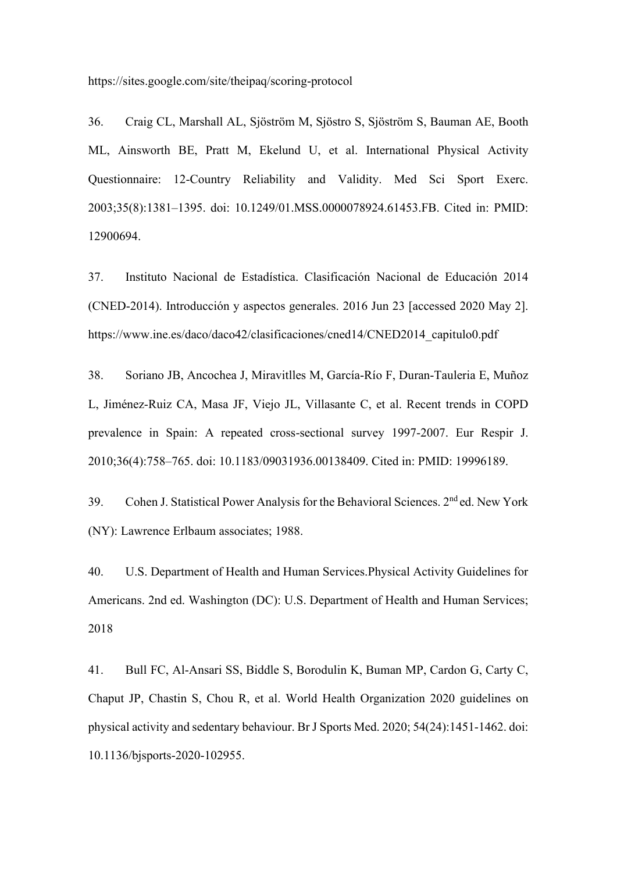https://sites.google.com/site/theipaq/scoring-protocol

36. Craig CL, Marshall AL, Sjöström M, Sjöstro S, Sjöström S, Bauman AE, Booth ML, Ainsworth BE, Pratt M, Ekelund U, et al. International Physical Activity Questionnaire: 12-Country Reliability and Validity. Med Sci Sport Exerc. 2003;35(8):1381–1395. doi: 10.1249/01.MSS.0000078924.61453.FB. Cited in: PMID: 12900694.

37. Instituto Nacional de Estadística. Clasificación Nacional de Educación 2014 (CNED-2014). Introducción y aspectos generales. 2016 Jun 23 [accessed 2020 May 2]. https://www.ine.es/daco/daco42/clasificaciones/cned14/CNED2014\_capitulo0.pdf

38. Soriano JB, Ancochea J, Miravitlles M, García-Río F, Duran-Tauleria E, Muñoz L, Jiménez-Ruiz CA, Masa JF, Viejo JL, Villasante C, et al. Recent trends in COPD prevalence in Spain: A repeated cross-sectional survey 1997-2007. Eur Respir J. 2010;36(4):758–765. doi: 10.1183/09031936.00138409. Cited in: PMID: 19996189.

39. Cohen J. Statistical Power Analysis for the Behavioral Sciences. 2nd ed. New York (NY): Lawrence Erlbaum associates; 1988.

40. U.S. Department of Health and Human Services.Physical Activity Guidelines for Americans. 2nd ed. Washington (DC): U.S. Department of Health and Human Services; 2018

41. Bull FC, Al-Ansari SS, Biddle S, Borodulin K, Buman MP, Cardon G, Carty C, Chaput JP, Chastin S, Chou R, et al. World Health Organization 2020 guidelines on physical activity and sedentary behaviour. Br J Sports Med. 2020; 54(24):1451-1462. doi: 10.1136/bjsports-2020-102955.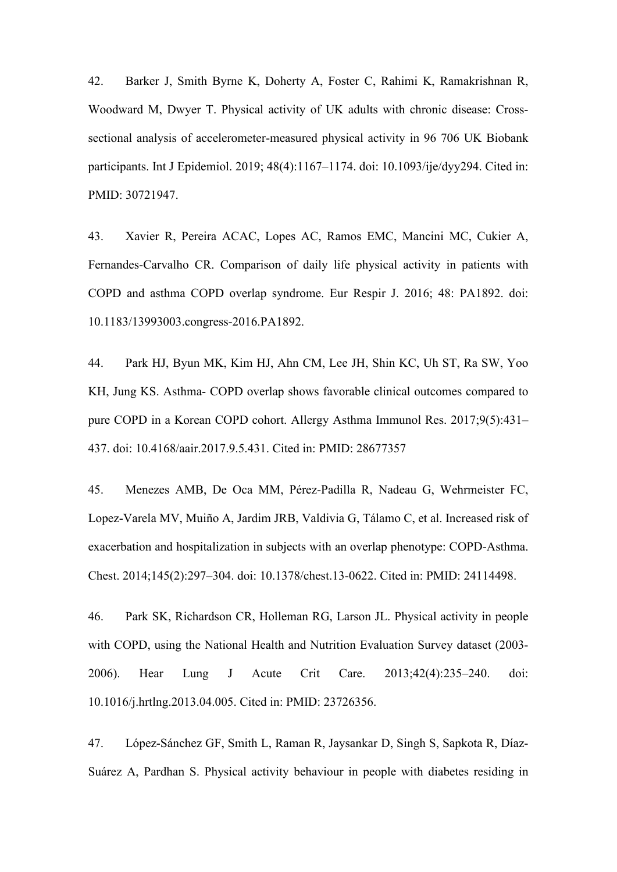42. Barker J, Smith Byrne K, Doherty A, Foster C, Rahimi K, Ramakrishnan R, Woodward M, Dwyer T. Physical activity of UK adults with chronic disease: Crosssectional analysis of accelerometer-measured physical activity in 96 706 UK Biobank participants. Int J Epidemiol. 2019; 48(4):1167–1174. doi: 10.1093/ije/dyy294. Cited in: PMID: 30721947.

43. Xavier R, Pereira ACAC, Lopes AC, Ramos EMC, Mancini MC, Cukier A, Fernandes-Carvalho CR. Comparison of daily life physical activity in patients with COPD and asthma COPD overlap syndrome. Eur Respir J. 2016; 48: PA1892. doi: 10.1183/13993003.congress-2016.PA1892.

44. Park HJ, Byun MK, Kim HJ, Ahn CM, Lee JH, Shin KC, Uh ST, Ra SW, Yoo KH, Jung KS. Asthma- COPD overlap shows favorable clinical outcomes compared to pure COPD in a Korean COPD cohort. Allergy Asthma Immunol Res. 2017;9(5):431– 437. doi: 10.4168/aair.2017.9.5.431. Cited in: PMID: 28677357

45. Menezes AMB, De Oca MM, Pérez-Padilla R, Nadeau G, Wehrmeister FC, Lopez-Varela MV, Muiño A, Jardim JRB, Valdivia G, Tálamo C, et al. Increased risk of exacerbation and hospitalization in subjects with an overlap phenotype: COPD-Asthma. Chest. 2014;145(2):297–304. doi: 10.1378/chest.13-0622. Cited in: PMID: 24114498.

46. Park SK, Richardson CR, Holleman RG, Larson JL. Physical activity in people with COPD, using the National Health and Nutrition Evaluation Survey dataset (2003- 2006). Hear Lung J Acute Crit Care. 2013;42(4):235–240. doi: 10.1016/j.hrtlng.2013.04.005. Cited in: PMID: 23726356.

47. López-Sánchez GF, Smith L, Raman R, Jaysankar D, Singh S, Sapkota R, Díaz-Suárez A, Pardhan S. Physical activity behaviour in people with diabetes residing in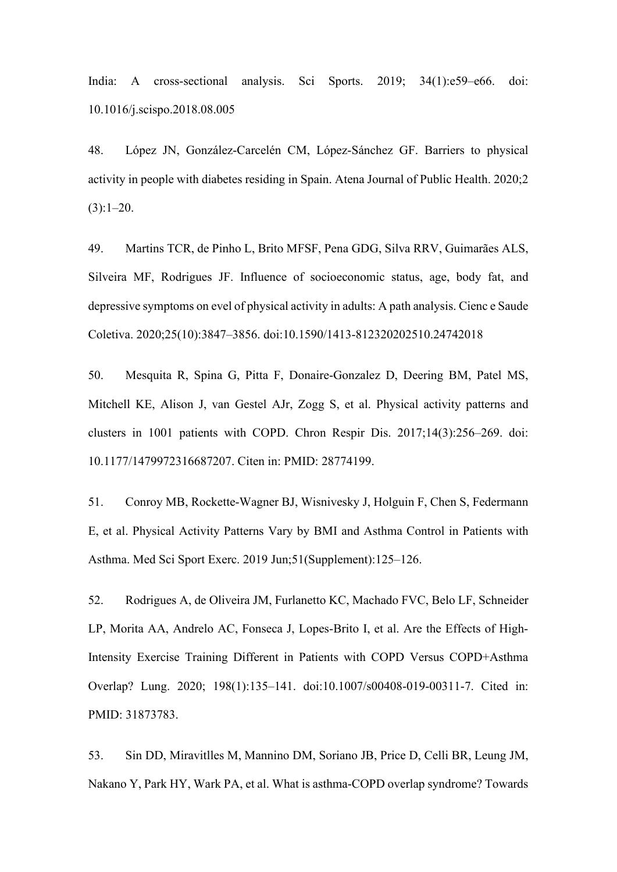India: A cross-sectional analysis. Sci Sports. 2019; 34(1):e59–e66. doi: 10.1016/j.scispo.2018.08.005

48. López JN, González-Carcelén CM, López-Sánchez GF. Barriers to physical activity in people with diabetes residing in Spain. Atena Journal of Public Health. 2020;2  $(3):1-20.$ 

49. Martins TCR, de Pinho L, Brito MFSF, Pena GDG, Silva RRV, Guimarães ALS, Silveira MF, Rodrigues JF. Influence of socioeconomic status, age, body fat, and depressive symptoms on evel of physical activity in adults: A path analysis. Cienc e Saude Coletiva. 2020;25(10):3847–3856. doi:10.1590/1413-812320202510.24742018

50. Mesquita R, Spina G, Pitta F, Donaire-Gonzalez D, Deering BM, Patel MS, Mitchell KE, Alison J, van Gestel AJr, Zogg S, et al. Physical activity patterns and clusters in 1001 patients with COPD. Chron Respir Dis. 2017;14(3):256–269. doi: 10.1177/1479972316687207. Citen in: PMID: 28774199.

51. Conroy MB, Rockette-Wagner BJ, Wisnivesky J, Holguin F, Chen S, Federmann E, et al. Physical Activity Patterns Vary by BMI and Asthma Control in Patients with Asthma. Med Sci Sport Exerc. 2019 Jun;51(Supplement):125–126.

52. Rodrigues A, de Oliveira JM, Furlanetto KC, Machado FVC, Belo LF, Schneider LP, Morita AA, Andrelo AC, Fonseca J, Lopes-Brito I, et al. Are the Effects of High-Intensity Exercise Training Different in Patients with COPD Versus COPD+Asthma Overlap? Lung. 2020; 198(1):135–141. doi:10.1007/s00408-019-00311-7. Cited in: PMID: 31873783.

53. Sin DD, Miravitlles M, Mannino DM, Soriano JB, Price D, Celli BR, Leung JM, Nakano Y, Park HY, Wark PA, et al. What is asthma-COPD overlap syndrome? Towards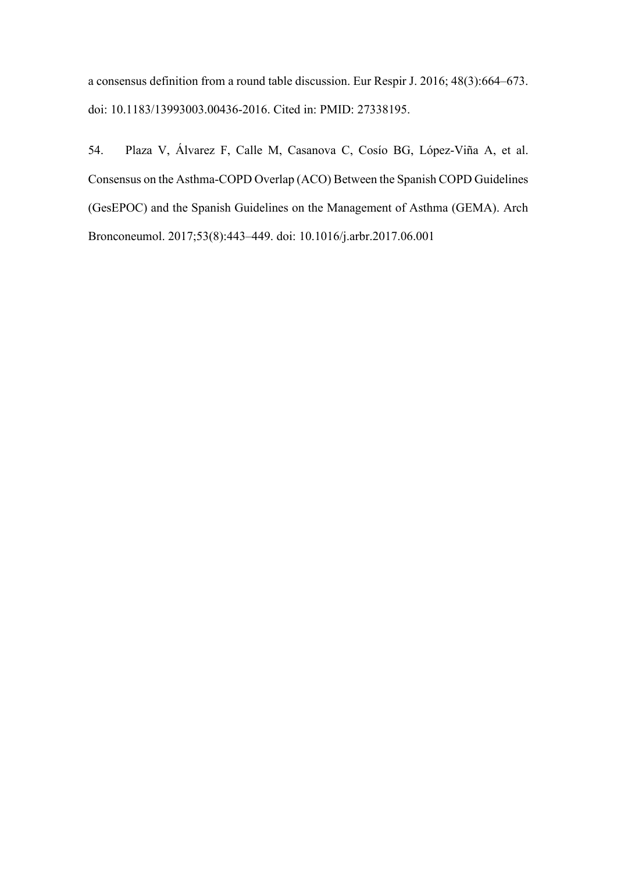a consensus definition from a round table discussion. Eur Respir J. 2016; 48(3):664–673. doi: 10.1183/13993003.00436-2016. Cited in: PMID: 27338195.

54. Plaza V, Álvarez F, Calle M, Casanova C, Cosío BG, López-Viña A, et al. Consensus on the Asthma-COPD Overlap (ACO) Between the Spanish COPD Guidelines (GesEPOC) and the Spanish Guidelines on the Management of Asthma (GEMA). Arch Bronconeumol. 2017;53(8):443–449. doi: 10.1016/j.arbr.2017.06.001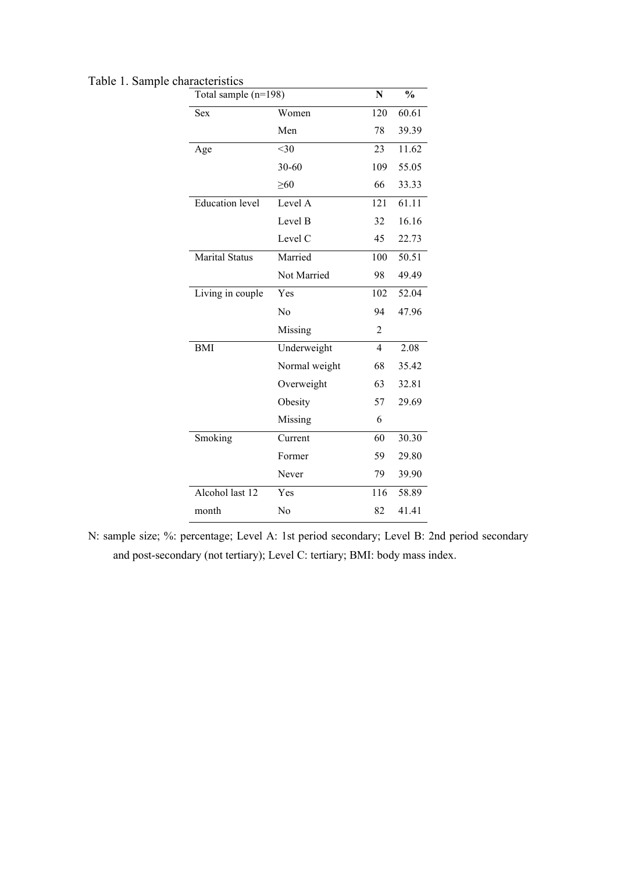| Total sample (n=198)   |               | N              | $\frac{0}{0}$ |  |
|------------------------|---------------|----------------|---------------|--|
| <b>Sex</b>             | Women         | 120            | 60.61         |  |
|                        | Men           | 78             | 39.39         |  |
| Age                    | $<$ 30        | 23             | 11.62         |  |
|                        | $30 - 60$     | 109            | 55.05         |  |
|                        | $\geq 60$     | 66             | 33.33         |  |
| <b>Education</b> level | Level A       | 121            | 61.11         |  |
|                        | Level B       | 32             | 16.16         |  |
|                        | Level C       | 45             | 22.73         |  |
| <b>Marital Status</b>  | Married       | 100            | 50.51         |  |
|                        | Not Married   | 98             | 49.49         |  |
| Living in couple       | Yes           | 102            | 52.04         |  |
|                        | No            | 94             | 47.96         |  |
|                        | Missing       | 2              |               |  |
| <b>BMI</b>             | Underweight   | $\overline{4}$ | 2.08          |  |
|                        | Normal weight | 68             | 35.42         |  |
|                        | Overweight    | 63             | 32.81         |  |
|                        | Obesity       | 57             | 29.69         |  |
|                        | Missing       | 6              |               |  |
| Smoking                | Current       | 60             | 30.30         |  |
|                        | Former        | 59             | 29.80         |  |
|                        | Never         | 79             | 39.90         |  |
| Alcohol last 12        | Yes           | 116            | 58.89         |  |
| month                  | No            | 82             | 41.41         |  |

Table 1. Sample characteristics

N: sample size; %: percentage; Level A: 1st period secondary; Level B: 2nd period secondary and post-secondary (not tertiary); Level C: tertiary; BMI: body mass index.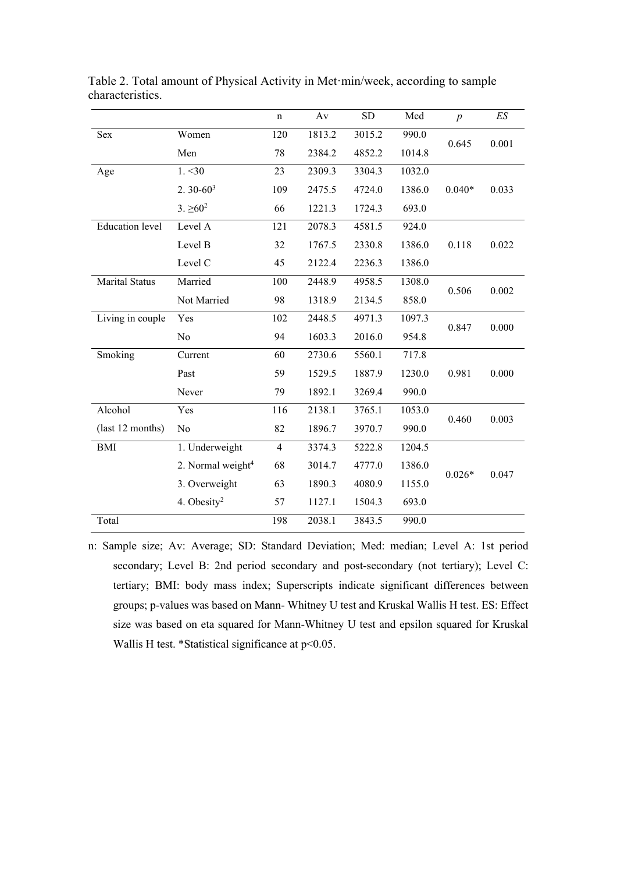|                        |                               | $\mathbf n$    | Av     | <b>SD</b> | Med    | $\boldsymbol{p}$ | $E\mathcal{S}$ |  |
|------------------------|-------------------------------|----------------|--------|-----------|--------|------------------|----------------|--|
| Sex                    | Women                         | 120            | 1813.2 | 3015.2    | 990.0  | 0.645            | 0.001          |  |
|                        | Men                           | 78             | 2384.2 | 4852.2    | 1014.8 |                  |                |  |
| Age                    | 1. < 30                       | 23             | 2309.3 | 3304.3    | 1032.0 |                  |                |  |
|                        | $2.30 - 603$                  | 109            | 2475.5 | 4724.0    | 1386.0 | $0.040*$         | 0.033          |  |
|                        | $3. \ge 60^2$                 | 66             | 1221.3 | 1724.3    | 693.0  |                  |                |  |
| <b>Education</b> level | Level A                       | 121            | 2078.3 | 4581.5    | 924.0  |                  |                |  |
|                        | Level B                       | 32             | 1767.5 | 2330.8    | 1386.0 | 0.118            | 0.022          |  |
|                        | Level C                       | 45             | 2122.4 | 2236.3    | 1386.0 |                  |                |  |
| <b>Marital Status</b>  | Married                       | 100            | 2448.9 | 4958.5    | 1308.0 | 0.506            | 0.002          |  |
|                        | Not Married                   | 98             | 1318.9 | 2134.5    | 858.0  |                  |                |  |
| Living in couple       | Yes                           | 102            | 2448.5 | 4971.3    | 1097.3 |                  | 0.000          |  |
|                        | No                            | 94             | 1603.3 | 2016.0    | 954.8  | 0.847            |                |  |
| Smoking                | Current                       | 60             | 2730.6 | 5560.1    | 717.8  |                  |                |  |
|                        | Past                          | 59             | 1529.5 | 1887.9    | 1230.0 | 0.981            | 0.000          |  |
|                        | Never                         | 79             | 1892.1 | 3269.4    | 990.0  |                  |                |  |
| Alcohol                | Yes                           | 116            | 2138.1 | 3765.1    | 1053.0 | 0.460            | 0.003          |  |
| (last 12 months)       | No                            | 82             | 1896.7 | 3970.7    | 990.0  |                  |                |  |
| <b>BMI</b>             | 1. Underweight                | $\overline{4}$ | 3374.3 | 5222.8    | 1204.5 |                  |                |  |
|                        | 2. Normal weight <sup>4</sup> | 68             | 3014.7 | 4777.0    | 1386.0 | $0.026*$         | 0.047          |  |
|                        | 3. Overweight                 | 63             | 1890.3 | 4080.9    | 1155.0 |                  |                |  |
|                        | 4. Obesity <sup>2</sup>       | 57             | 1127.1 | 1504.3    | 693.0  |                  |                |  |
| Total                  |                               | 198            | 2038.1 | 3843.5    | 990.0  |                  |                |  |

Table 2. Total amount of Physical Activity in Met·min/week, according to sample characteristics.

n: Sample size; Av: Average; SD: Standard Deviation; Med: median; Level A: 1st period secondary; Level B: 2nd period secondary and post-secondary (not tertiary); Level C: tertiary; BMI: body mass index; Superscripts indicate significant differences between groups; p-values was based on Mann- Whitney U test and Kruskal Wallis H test. ES: Effect size was based on eta squared for Mann-Whitney U test and epsilon squared for Kruskal Wallis H test. \*Statistical significance at p<0.05.